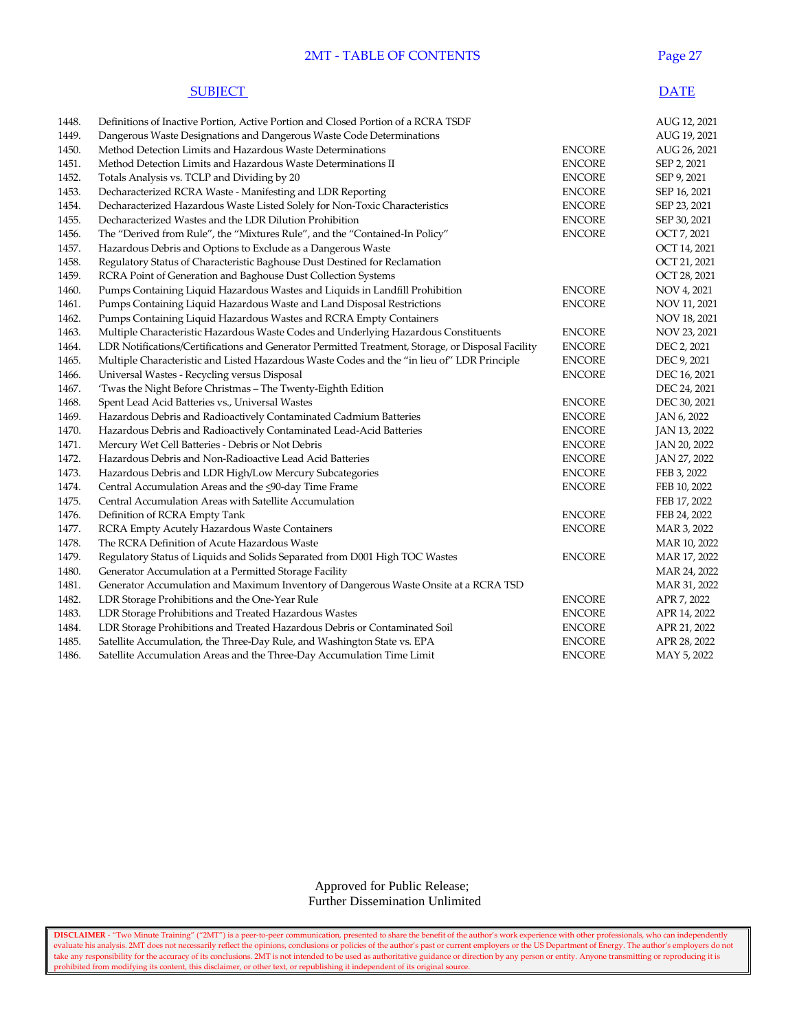## 2MT - TABLE OF CONTENTS Page 27

#### **SUBJECT** DATE

| 1448. | Definitions of Inactive Portion, Active Portion and Closed Portion of a RCRA TSDF                 |               | AUG 12, 2021 |
|-------|---------------------------------------------------------------------------------------------------|---------------|--------------|
| 1449. | Dangerous Waste Designations and Dangerous Waste Code Determinations                              |               | AUG 19, 2021 |
| 1450. | Method Detection Limits and Hazardous Waste Determinations                                        | <b>ENCORE</b> | AUG 26, 2021 |
| 1451. | Method Detection Limits and Hazardous Waste Determinations II                                     | <b>ENCORE</b> | SEP 2, 2021  |
| 1452. | Totals Analysis vs. TCLP and Dividing by 20                                                       | <b>ENCORE</b> | SEP 9, 2021  |
| 1453. | Decharacterized RCRA Waste - Manifesting and LDR Reporting                                        | <b>ENCORE</b> | SEP 16, 2021 |
| 1454. | Decharacterized Hazardous Waste Listed Solely for Non-Toxic Characteristics                       | <b>ENCORE</b> | SEP 23, 2021 |
| 1455. | Decharacterized Wastes and the LDR Dilution Prohibition                                           | <b>ENCORE</b> | SEP 30, 2021 |
| 1456. | The "Derived from Rule", the "Mixtures Rule", and the "Contained-In Policy"                       | <b>ENCORE</b> | OCT 7, 2021  |
| 1457. | Hazardous Debris and Options to Exclude as a Dangerous Waste                                      |               | OCT 14, 2021 |
| 1458. | Regulatory Status of Characteristic Baghouse Dust Destined for Reclamation                        |               | OCT 21, 2021 |
| 1459. | RCRA Point of Generation and Baghouse Dust Collection Systems                                     |               | OCT 28, 2021 |
| 1460. | Pumps Containing Liquid Hazardous Wastes and Liquids in Landfill Prohibition                      | <b>ENCORE</b> | NOV 4, 2021  |
| 1461. | Pumps Containing Liquid Hazardous Waste and Land Disposal Restrictions                            | <b>ENCORE</b> | NOV 11, 2021 |
| 1462. | Pumps Containing Liquid Hazardous Wastes and RCRA Empty Containers                                |               | NOV 18, 2021 |
| 1463. | Multiple Characteristic Hazardous Waste Codes and Underlying Hazardous Constituents               | <b>ENCORE</b> | NOV 23, 2021 |
| 1464. | LDR Notifications/Certifications and Generator Permitted Treatment, Storage, or Disposal Facility | <b>ENCORE</b> | DEC 2, 2021  |
| 1465. | Multiple Characteristic and Listed Hazardous Waste Codes and the "in lieu of" LDR Principle       | <b>ENCORE</b> | DEC 9, 2021  |
| 1466. | Universal Wastes - Recycling versus Disposal                                                      | <b>ENCORE</b> | DEC 16, 2021 |
| 1467. | 'Twas the Night Before Christmas - The Twenty-Eighth Edition                                      |               | DEC 24, 2021 |
| 1468. | Spent Lead Acid Batteries vs., Universal Wastes                                                   | <b>ENCORE</b> | DEC 30, 2021 |
| 1469. | Hazardous Debris and Radioactively Contaminated Cadmium Batteries                                 | <b>ENCORE</b> | JAN 6, 2022  |
| 1470. | Hazardous Debris and Radioactively Contaminated Lead-Acid Batteries                               | <b>ENCORE</b> | JAN 13, 2022 |
| 1471. | Mercury Wet Cell Batteries - Debris or Not Debris                                                 | <b>ENCORE</b> | JAN 20, 2022 |
| 1472. | Hazardous Debris and Non-Radioactive Lead Acid Batteries                                          | <b>ENCORE</b> | JAN 27, 2022 |
| 1473. | Hazardous Debris and LDR High/Low Mercury Subcategories                                           | <b>ENCORE</b> | FEB 3, 2022  |
| 1474. | Central Accumulation Areas and the <90-day Time Frame                                             | <b>ENCORE</b> | FEB 10, 2022 |
| 1475. | Central Accumulation Areas with Satellite Accumulation                                            |               | FEB 17, 2022 |
| 1476. | Definition of RCRA Empty Tank                                                                     | <b>ENCORE</b> | FEB 24, 2022 |
| 1477. | RCRA Empty Acutely Hazardous Waste Containers                                                     | <b>ENCORE</b> | MAR 3, 2022  |
| 1478. | The RCRA Definition of Acute Hazardous Waste                                                      |               | MAR 10, 2022 |
| 1479. | Regulatory Status of Liquids and Solids Separated from D001 High TOC Wastes                       | <b>ENCORE</b> | MAR 17, 2022 |
| 1480. | Generator Accumulation at a Permitted Storage Facility                                            |               | MAR 24, 2022 |
| 1481. | Generator Accumulation and Maximum Inventory of Dangerous Waste Onsite at a RCRA TSD              |               | MAR 31, 2022 |
| 1482. | LDR Storage Prohibitions and the One-Year Rule                                                    | <b>ENCORE</b> | APR 7, 2022  |
| 1483. | LDR Storage Prohibitions and Treated Hazardous Wastes                                             | <b>ENCORE</b> | APR 14, 2022 |
| 1484. | LDR Storage Prohibitions and Treated Hazardous Debris or Contaminated Soil                        | <b>ENCORE</b> | APR 21, 2022 |
| 1485. | Satellite Accumulation, the Three-Day Rule, and Washington State vs. EPA                          | <b>ENCORE</b> | APR 28, 2022 |
| 1486. | Satellite Accumulation Areas and the Three-Day Accumulation Time Limit                            | <b>ENCORE</b> | MAY 5, 2022  |
|       |                                                                                                   |               |              |

 Approved for Public Release; Further Dissemination Unlimited

**DISCLAIMER** - "Two Minute Training" ("2MT") is a peer-to-peer communication, presented to share the benefit of the author's work experience with other professionals, who can independently evaluate his analysis. 2MT does not necessarily reflect the opinions, conclusions or policies of the author's past or current employers or the US Department of Energy. The author's employers do not take any responsibility for the accuracy of its conclusions. 2MT is not intended to be used as authoritative guidance or direction by any person or entity. Anyone transmitting or reproducing it is prohibited from modifying its content, this disclaimer, or other text, or republishing it independent of its original source.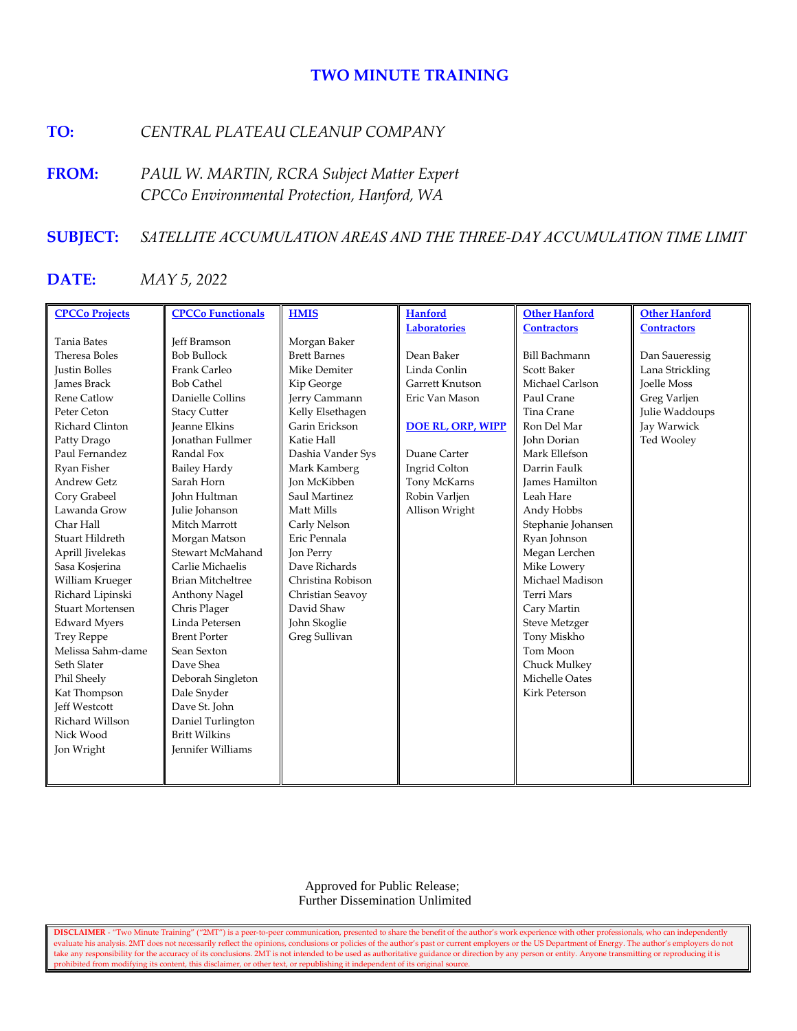# **TWO MINUTE TRAINING**

# **TO:** *CENTRAL PLATEAU CLEANUP COMPANY*

**FROM:** *PAUL W. MARTIN, RCRA Subject Matter Expert CPCCo Environmental Protection, Hanford, WA*

# **SUBJECT:** *SATELLITE ACCUMULATION AREAS AND THE THREE-DAY ACCUMULATION TIME LIMIT*

# **DATE:** *MAY 5, 2022*

| <b>CPCCo Projects</b>   | <b>CPCCo Functionals</b> | <b>HMIS</b>         | <b>Hanford</b>           | <b>Other Hanford</b>  | <b>Other Hanford</b> |
|-------------------------|--------------------------|---------------------|--------------------------|-----------------------|----------------------|
|                         |                          |                     | <b>Laboratories</b>      | <b>Contractors</b>    | <b>Contractors</b>   |
| <b>Tania Bates</b>      | <b>Jeff Bramson</b>      | Morgan Baker        |                          |                       |                      |
| Theresa Boles           | <b>Bob Bullock</b>       | <b>Brett Barnes</b> | Dean Baker               | <b>Bill Bachmann</b>  | Dan Saueressig       |
| <b>Justin Bolles</b>    | Frank Carleo             | Mike Demiter        | Linda Conlin             | <b>Scott Baker</b>    | Lana Strickling      |
| <b>James Brack</b>      | <b>Bob Cathel</b>        | Kip George          | Garrett Knutson          | Michael Carlson       | <b>Toelle Moss</b>   |
| <b>Rene Catlow</b>      | Danielle Collins         | Jerry Cammann       | Eric Van Mason           | Paul Crane            | Greg Varljen         |
| Peter Ceton             | <b>Stacy Cutter</b>      | Kelly Elsethagen    |                          | Tina Crane            | Julie Waddoups       |
| Richard Clinton         | <b>Jeanne Elkins</b>     | Garin Erickson      | <b>DOE RL, ORP, WIPP</b> | Ron Del Mar           | Jay Warwick          |
| Patty Drago             | <b>Ionathan Fullmer</b>  | Katie Hall          |                          | John Dorian           | Ted Wooley           |
| Paul Fernandez          | Randal Fox               | Dashia Vander Sys   | Duane Carter             | Mark Ellefson         |                      |
| Ryan Fisher             | <b>Bailey Hardy</b>      | Mark Kamberg        | Ingrid Colton            | Darrin Faulk          |                      |
| <b>Andrew Getz</b>      | Sarah Horn               | <b>Ion McKibben</b> | Tony McKarns             | <b>James Hamilton</b> |                      |
| Cory Grabeel            | John Hultman             | Saul Martinez       | Robin Varljen            | Leah Hare             |                      |
| Lawanda Grow            | Julie Johanson           | Matt Mills          | Allison Wright           | Andy Hobbs            |                      |
| Char Hall               | Mitch Marrott            | Carly Nelson        |                          | Stephanie Johansen    |                      |
| Stuart Hildreth         | Morgan Matson            | Eric Pennala        |                          | Ryan Johnson          |                      |
| Aprill Jivelekas        | Stewart McMahand         | Jon Perry           |                          | Megan Lerchen         |                      |
| Sasa Kosjerina          | Carlie Michaelis         | Dave Richards       |                          | Mike Lowery           |                      |
| William Krueger         | <b>Brian Mitcheltree</b> | Christina Robison   |                          | Michael Madison       |                      |
| Richard Lipinski        | Anthony Nagel            | Christian Seavoy    |                          | <b>Terri Mars</b>     |                      |
| <b>Stuart Mortensen</b> | Chris Plager             | David Shaw          |                          | Cary Martin           |                      |
| <b>Edward Myers</b>     | Linda Petersen           | John Skoglie        |                          | <b>Steve Metzger</b>  |                      |
| <b>Trey Reppe</b>       | <b>Brent Porter</b>      | Greg Sullivan       |                          | Tony Miskho           |                      |
| Melissa Sahm-dame       | Sean Sexton              |                     |                          | Tom Moon              |                      |
| Seth Slater             | Dave Shea                |                     |                          | Chuck Mulkey          |                      |
| Phil Sheely             | Deborah Singleton        |                     |                          | Michelle Oates        |                      |
| Kat Thompson            | Dale Snyder              |                     |                          | Kirk Peterson         |                      |
| <b>Jeff Westcott</b>    | Dave St. John            |                     |                          |                       |                      |
| Richard Willson         | Daniel Turlington        |                     |                          |                       |                      |
| Nick Wood               | <b>Britt Wilkins</b>     |                     |                          |                       |                      |
| Jon Wright              | <b>Jennifer Williams</b> |                     |                          |                       |                      |
|                         |                          |                     |                          |                       |                      |
|                         |                          |                     |                          |                       |                      |

 Approved for Public Release; Further Dissemination Unlimited

**DISCLAIMER** - "Two Minute Training" ("2MT") is a peer-to-peer communication, presented to share the benefit of the author's work experience with other professionals, who can independently evaluate his analysis. 2MT does not necessarily reflect the opinions, conclusions or policies of the author's past or current employers or the US Department of Energy. The author's employers do not take any responsibility for the accuracy of its conclusions. 2MT is not intended to be used as authoritative guidance or direction by any person or entity. Anyone transmitting or reproducing it is prohibited from modifying its content, this disclaimer, or other text, or republishing it independent of its original source.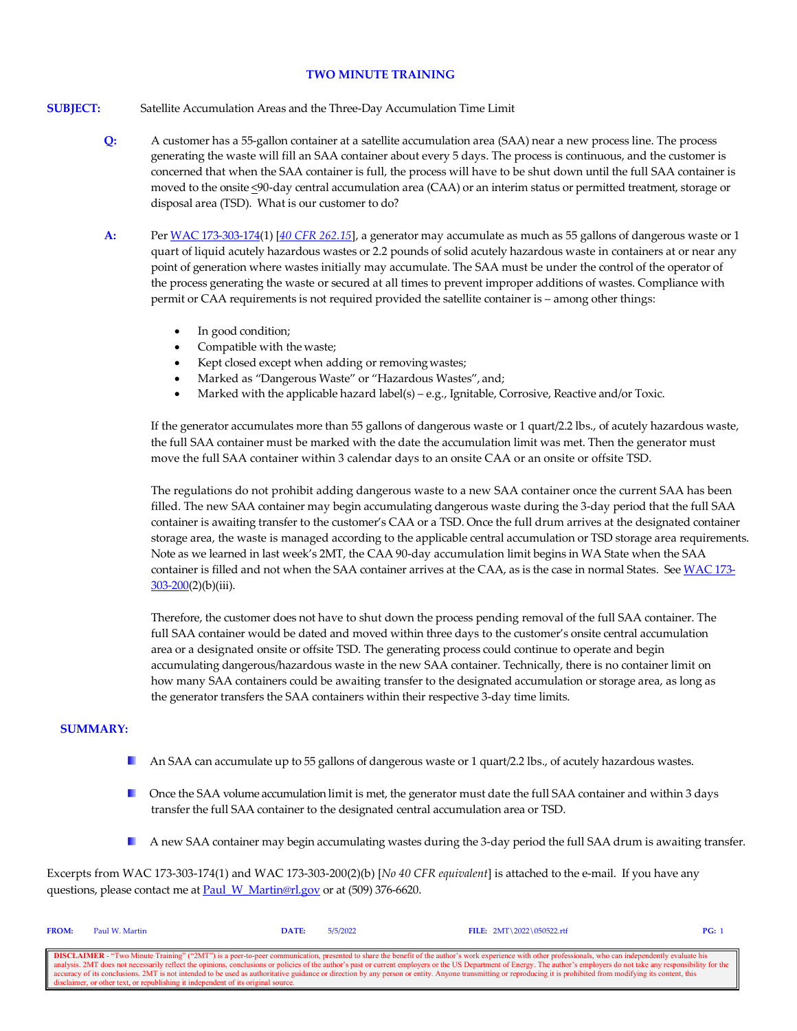#### **TWO MINUTE TRAINING**

## **SUBJECT:** Satellite Accumulation Areas and the Three-Day Accumulation Time Limit

- **Q:** A customer has a 55-gallon container at a satellite accumulation area (SAA) near a new process line. The process generating the waste will fill an SAA container about every 5 days. The process is continuous, and the customer is concerned that when the SAA container is full, the process will have to be shut down until the full SAA container is moved to the onsite <90-day central accumulation area (CAA) or an interim status or permitted treatment, storage or disposal area (TSD). What is our customer to do?
- **A:** Per [WAC 173-303-174\(](https://apps.leg.wa.gov/wac/default.aspx?cite=173-303-174)1) [*[40 CFR](https://www.govinfo.gov/content/pkg/CFR-2021-title40-vol28/xml/CFR-2021-title40-vol28-sec262-15.xml) 262.15*], a generator may accumulate as much as 55 gallons of dangerous waste or 1 quart of liquid acutely hazardous wastes or 2.2 pounds of solid acutely hazardous waste in containers at or near any point of generation where wastes initially may accumulate. The SAA must be under the control of the operator of the process generating the waste or secured at all times to prevent improper additions of wastes. Compliance with permit or CAA requirements is not required provided the satellite container is – among other things:
	- In good condition;
	- Compatible with the waste;
	- Kept closed except when adding or removing wastes;
	- Marked as "Dangerous Waste" or "Hazardous Wastes", and;
	- Marked with the applicable hazard label(s) e.g., Ignitable, Corrosive, Reactive and/or Toxic.

If the generator accumulates more than 55 gallons of dangerous waste or 1 quart/2.2 lbs., of acutely hazardous waste, the full SAA container must be marked with the date the accumulation limit was met. Then the generator must move the full SAA container within 3 calendar days to an onsite CAA or an onsite or offsite TSD.

The regulations do not prohibit adding dangerous waste to a new SAA container once the current SAA has been filled. The new SAA container may begin accumulating dangerous waste during the 3-day period that the full SAA container is awaiting transfer to the customer's CAA or a TSD. Once the full drum arrives at the designated container storage area, the waste is managed according to the applicable central accumulation or TSD storage area requirements. Note as we learned in last week's 2MT, the CAA 90-day accumulation limit begins in WA State when the SAA container is filled and not when the SAA container arrives at the CAA, as is the case in normal States. Se[e WAC 173-](https://app.leg.wa.gov/WAC/default.aspx?cite=173-303-200)  $303 - 200(2)$ (b)(iii).

Therefore, the customer does not have to shut down the process pending removal of the full SAA container. The full SAA container would be dated and moved within three days to the customer's onsite central accumulation area or a designated onsite or offsite TSD. The generating process could continue to operate and begin accumulating dangerous/hazardous waste in the new SAA container. Technically, there is no container limit on how many SAA containers could be awaiting transfer to the designated accumulation or storage area, as long as the generator transfers the SAA containers within their respective 3-day time limits.

# **SUMMARY:**

- **A** An SAA can accumulate up to 55 gallons of dangerous waste or 1 quart/2.2 lbs., of acutely hazardous wastes.
- **D** Once the SAA volume accumulation limit is met, the generator must date the full SAA container and within 3 days transfer the full SAA container to the designated central accumulation area or TSD.
- **A** new SAA container may begin accumulating wastes during the 3-day period the full SAA drum is awaiting transfer.

Excerpts from WAC 173-303-174(1) and WAC 173-303-200(2)(b) [*No 40 CFR equivalent*] is attached to the e-mail. If you have any questions, please contact me at **Paul\_W\_Martin@rl.gov** or at (509) 376-6620.

| <b>FROM:</b>                                                                                                                                                                                                             | Paul W. Martin                                                                    | DATE: | 5/5/2022 | FILE: $2MT \ 2022 \ 050522.rtf$ | PG: |  |  |  |
|--------------------------------------------------------------------------------------------------------------------------------------------------------------------------------------------------------------------------|-----------------------------------------------------------------------------------|-------|----------|---------------------------------|-----|--|--|--|
|                                                                                                                                                                                                                          |                                                                                   |       |          |                                 |     |  |  |  |
| <b>DISCLAIMER</b> - "Two Minute Training" ("2MT") is a peer-to-peer communication, presented to share the benefit of the author's work experience with other professionals, who can independently evaluate his           |                                                                                   |       |          |                                 |     |  |  |  |
| analysis. 2MT does not necessarily reflect the opinions, conclusions or policies of the author's past or current employers or the US Department of Energy. The author's employers do not take any responsibility for the |                                                                                   |       |          |                                 |     |  |  |  |
| cecuracy of its conclusions. 2MT is not intended to be used as authoritative guidance or direction by any person or entity. Anyone transmitting or reproducing it is prohibited from modifying its content, this         |                                                                                   |       |          |                                 |     |  |  |  |
|                                                                                                                                                                                                                          | disclaimer, or other text, or republishing it independent of its original source. |       |          |                                 |     |  |  |  |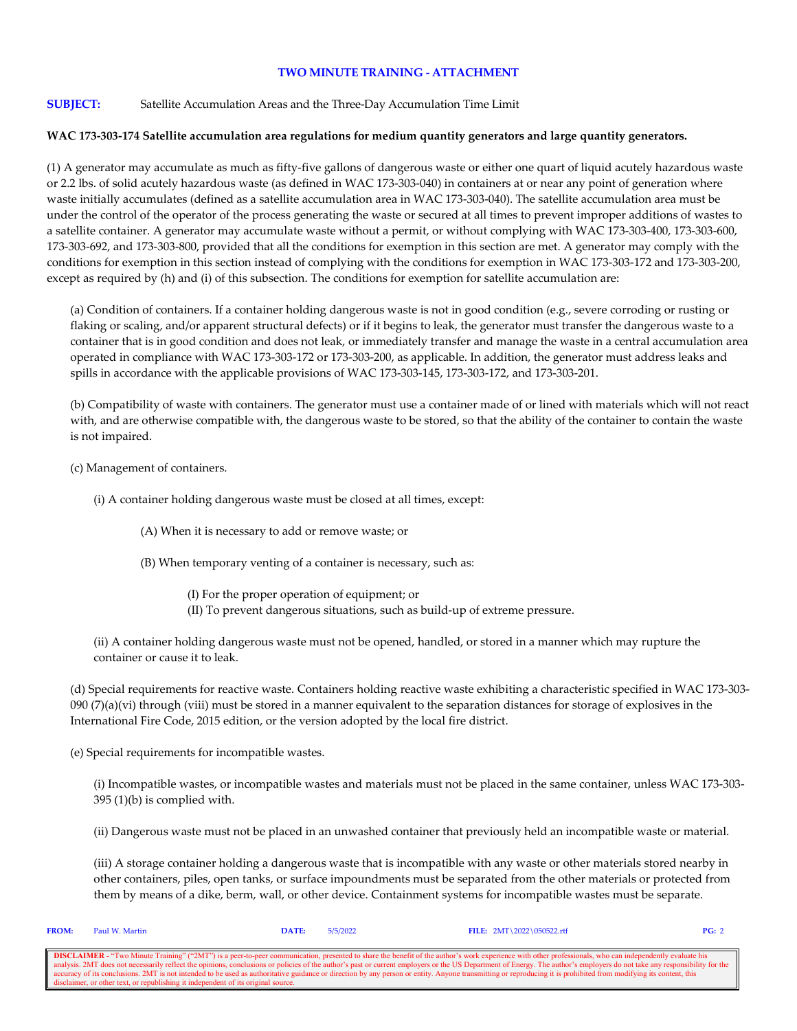## **TWO MINUTE TRAINING - ATTACHMENT**

## **SUBJECT:** Satellite Accumulation Areas and the Three-Day Accumulation Time Limit

## **WAC 173-303-174 Satellite accumulation area regulations for medium quantity generators and large quantity generators.**

(1) A generator may accumulate as much as fifty-five gallons of dangerous waste or either one quart of liquid acutely hazardous waste or 2.2 lbs. of solid acutely hazardous waste (as defined in WAC 173-303-040) in containers at or near any point of generation where waste initially accumulates (defined as a satellite accumulation area in WAC 173-303-040). The satellite accumulation area must be under the control of the operator of the process generating the waste or secured at all times to prevent improper additions of wastes to a satellite container. A generator may accumulate waste without a permit, or without complying with WAC 173-303-400, 173-303-600, 173-303-692, and 173-303-800, provided that all the conditions for exemption in this section are met. A generator may comply with the conditions for exemption in this section instead of complying with the conditions for exemption in WAC 173-303-172 and 173-303-200, except as required by (h) and (i) of this subsection. The conditions for exemption for satellite accumulation are:

(a) Condition of containers. If a container holding dangerous waste is not in good condition (e.g., severe corroding or rusting or flaking or scaling, and/or apparent structural defects) or if it begins to leak, the generator must transfer the dangerous waste to a container that is in good condition and does not leak, or immediately transfer and manage the waste in a central accumulation area operated in compliance with WAC 173-303-172 or 173-303-200, as applicable. In addition, the generator must address leaks and spills in accordance with the applicable provisions of WAC 173-303-145, 173-303-172, and 173-303-201.

(b) Compatibility of waste with containers. The generator must use a container made of or lined with materials which will not react with, and are otherwise compatible with, the dangerous waste to be stored, so that the ability of the container to contain the waste is not impaired.

(c) Management of containers.

- (i) A container holding dangerous waste must be closed at all times, except:
	- (A) When it is necessary to add or remove waste; or
	- (B) When temporary venting of a container is necessary, such as:
		- (I) For the proper operation of equipment; or
		- (II) To prevent dangerous situations, such as build-up of extreme pressure.

(ii) A container holding dangerous waste must not be opened, handled, or stored in a manner which may rupture the container or cause it to leak.

(d) Special requirements for reactive waste. Containers holding reactive waste exhibiting a characteristic specified in WAC 173-303- 090  $(7)(a)(vi)$  through (viii) must be stored in a manner equivalent to the separation distances for storage of explosives in the International Fire Code, 2015 edition, or the version adopted by the local fire district.

(e) Special requirements for incompatible wastes.

(i) Incompatible wastes, or incompatible wastes and materials must not be placed in the same container, unless WAC 173-303- 395 (1)(b) is complied with.

(ii) Dangerous waste must not be placed in an unwashed container that previously held an incompatible waste or material.

(iii) A storage container holding a dangerous waste that is incompatible with any waste or other materials stored nearby in other containers, piles, open tanks, or surface impoundments must be separated from the other materials or protected from them by means of a dike, berm, wall, or other device. Containment systems for incompatible wastes must be separate.

| <b>FROM:</b>                                                                                                                                                                                                             | Paul W. Martin                                                                    | DATE: | 5/5/2022 | FILE: $2MT \ 2022 \ 050522.rtf$ | PG: 2 |  |  |
|--------------------------------------------------------------------------------------------------------------------------------------------------------------------------------------------------------------------------|-----------------------------------------------------------------------------------|-------|----------|---------------------------------|-------|--|--|
|                                                                                                                                                                                                                          |                                                                                   |       |          |                                 |       |  |  |
| <b>DISCLAIMER</b> - "Two Minute Training" ("2MT") is a peer-to-peer communication, presented to share the benefit of the author's work experience with other professionals, who can independently evaluate his           |                                                                                   |       |          |                                 |       |  |  |
| analysis. 2MT does not necessarily reflect the opinions, conclusions or policies of the author's past or current employers or the US Department of Energy. The author's employers do not take any responsibility for the |                                                                                   |       |          |                                 |       |  |  |
| accuracy of its conclusions. 2MT is not intended to be used as authoritative guidance or direction by any person or entity. Anyone transmitting or reproducing it is prohibited from modifying its content, this         |                                                                                   |       |          |                                 |       |  |  |
|                                                                                                                                                                                                                          | disclaimer, or other text, or republishing it independent of its original source. |       |          |                                 |       |  |  |